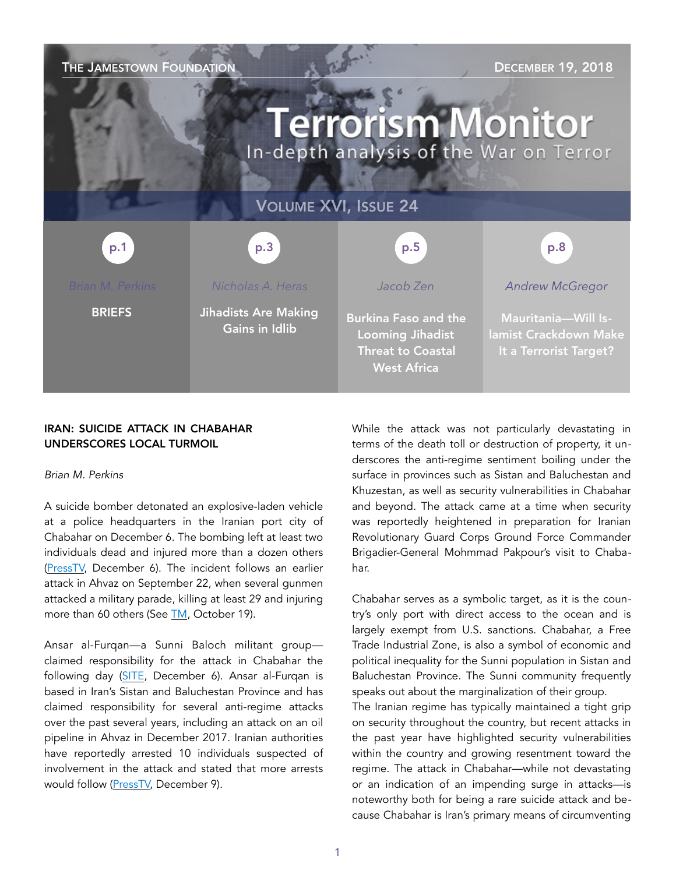| THE JAMESTOWN FOUNDATION<br><b>DECEMBER 19, 2018</b><br><b>Terrorism Monitor</b><br>In-depth analysis of the War on Terror |                                                      |                                                                                                          |                                                                               |
|----------------------------------------------------------------------------------------------------------------------------|------------------------------------------------------|----------------------------------------------------------------------------------------------------------|-------------------------------------------------------------------------------|
| <b>VOLUME XVI, ISSUE 24</b>                                                                                                |                                                      |                                                                                                          |                                                                               |
| p.1                                                                                                                        | p.3                                                  | p.5                                                                                                      | p.8                                                                           |
| <b>Brian M. Perkins</b>                                                                                                    | Nicholas A. Heras                                    | Jacob Zen                                                                                                | <b>Andrew McGregor</b>                                                        |
| <b>BRIEFS</b>                                                                                                              | <b>Jihadists Are Making</b><br><b>Gains in Idlib</b> | <b>Burkina Faso and the</b><br><b>Looming Jihadist</b><br><b>Threat to Coastal</b><br><b>West Africa</b> | <b>Mauritania-Will Is-</b><br>lamist Crackdown Make<br>It a Terrorist Target? |

## IRAN: SUICIDE ATTACK IN CHABAHAR UNDERSCORES LOCAL TURMOIL

#### *Brian M. Perkins*

A suicide bomber detonated an explosive-laden vehicle at a police headquarters in the Iranian port city of Chabahar on December 6. The bombing left at least two individuals dead and injured more than a dozen others ([PressTV,](https://www.presstv.com/Detail/2018/12/06/582124/Iran-shooting-Chabahar) December 6). The incident follows an earlier attack in Ahvaz on September 22, when several gunmen attacked a military parade, killing at least 29 and injuring more than 60 others (See [TM,](https://jamestown.org/program/ahvaz-attack-iran-blames-u-s-arab-rivals-and-consolidates-control/) October 19).

Ansar al-Furqan—a Sunni Baloch militant group claimed responsibility for the attack in Chabahar the following day ([SITE,](https://ent.siteintelgroup.com/Statements/ansar-al-furqan-claims-suicide-bombing-at-iranian-police-hq-in-chabahar.html) December 6). Ansar al-Furqan is based in Iran's Sistan and Baluchestan Province and has claimed responsibility for several anti-regime attacks over the past several years, including an attack on an oil pipeline in Ahvaz in December 2017. Iranian authorities have reportedly arrested 10 individuals suspected of involvement in the attack and stated that more arrests would follow [\(PressTV,](https://www.presstv.com/Detail/2018/12/09/582436/Iran-police-Chabahar) December 9).

While the attack was not particularly devastating in terms of the death toll or destruction of property, it underscores the anti-regime sentiment boiling under the surface in provinces such as Sistan and Baluchestan and Khuzestan, as well as security vulnerabilities in Chabahar and beyond. The attack came at a time when security was reportedly heightened in preparation for Iranian Revolutionary Guard Corps Ground Force Commander Brigadier-General Mohmmad Pakpour's visit to Chabahar.

Chabahar serves as a symbolic target, as it is the country's only port with direct access to the ocean and is largely exempt from U.S. sanctions. Chabahar, a Free Trade Industrial Zone, is also a symbol of economic and political inequality for the Sunni population in Sistan and Baluchestan Province. The Sunni community frequently speaks out about the marginalization of their group.

The Iranian regime has typically maintained a tight grip on security throughout the country, but recent attacks in the past year have highlighted security vulnerabilities within the country and growing resentment toward the regime. The attack in Chabahar—while not devastating or an indication of an impending surge in attacks—is noteworthy both for being a rare suicide attack and because Chabahar is Iran's primary means of circumventing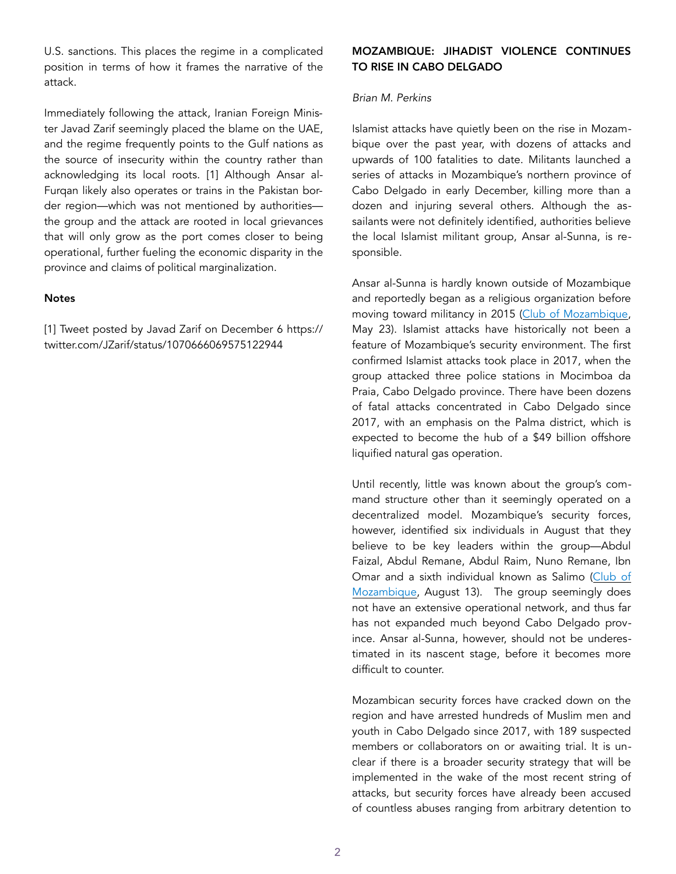U.S. sanctions. This places the regime in a complicated position in terms of how it frames the narrative of the attack.

Immediately following the attack, Iranian Foreign Minister Javad Zarif seemingly placed the blame on the UAE, and the regime frequently points to the Gulf nations as the source of insecurity within the country rather than acknowledging its local roots. [1] Although Ansar al-Furqan likely also operates or trains in the Pakistan border region—which was not mentioned by authorities the group and the attack are rooted in local grievances that will only grow as the port comes closer to being operational, further fueling the economic disparity in the province and claims of political marginalization.

#### **Notes**

[1] Tweet posted by Javad Zarif on December 6 https:// twitter.com/JZarif/status/1070666069575122944

# MOZAMBIQUE: JIHADIST VIOLENCE CONTINUES TO RISE IN CABO DELGADO

#### *Brian M. Perkins*

Islamist attacks have quietly been on the rise in Mozambique over the past year, with dozens of attacks and upwards of 100 fatalities to date. Militants launched a series of attacks in Mozambique's northern province of Cabo Delgado in early December, killing more than a dozen and injuring several others. Although the assailants were not definitely identified, authorities believe the local Islamist militant group, Ansar al-Sunna, is responsible.

Ansar al-Sunna is hardly known outside of Mozambique and reportedly began as a religious organization before moving toward militancy in 2015 ([Club of Mozambique,](https://clubofmozambique.com/news/mozambique-islamists-funded-by-illegal-trade-in-timber-and-rubies-aim-report/) May 23). Islamist attacks have historically not been a feature of Mozambique's security environment. The first confirmed Islamist attacks took place in 2017, when the group attacked three police stations in Mocimboa da Praia, Cabo Delgado province. There have been dozens of fatal attacks concentrated in Cabo Delgado since 2017, with an emphasis on the Palma district, which is expected to become the hub of a \$49 billion offshore liquified natural gas operation.

Until recently, little was known about the group's command structure other than it seemingly operated on a decentralized model. Mozambique's security forces, however, identified six individuals in August that they believe to be key leaders within the group—Abdul Faizal, Abdul Remane, Abdul Raim, Nuno Remane, Ibn Omar and a sixth individual known as Salimo (Club of [Mozambique,](https://clubofmozambique.com/news/mozambican-police-name-ringleaders-of-cabo-delgado-attacks/) August 13). The group seemingly does not have an extensive operational network, and thus far has not expanded much beyond Cabo Delgado province. Ansar al-Sunna, however, should not be underestimated in its nascent stage, before it becomes more difficult to counter.

Mozambican security forces have cracked down on the region and have arrested hundreds of Muslim men and youth in Cabo Delgado since 2017, with 189 suspected members or collaborators on or awaiting trial. It is unclear if there is a broader security strategy that will be implemented in the wake of the most recent string of attacks, but security forces have already been accused of countless abuses ranging from arbitrary detention to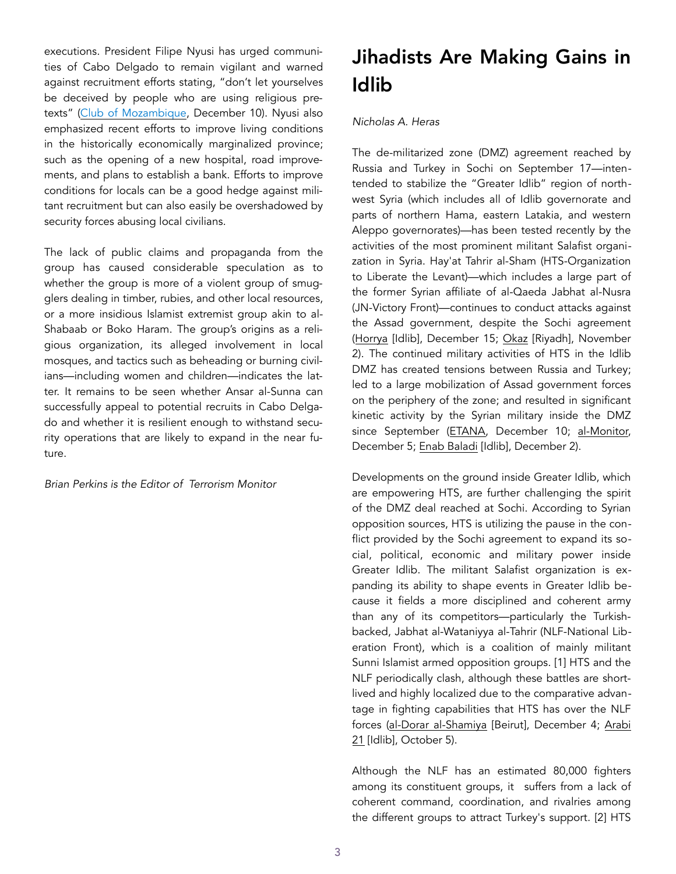executions. President Filipe Nyusi has urged communities of Cabo Delgado to remain vigilant and warned against recruitment efforts stating, "don't let yourselves be deceived by people who are using religious pretexts" ([Club of Mozambique,](https://clubofmozambique.com/news/nyusi-urges-vigilance-against-terrorist-recruitment/) December 10). Nyusi also emphasized recent efforts to improve living conditions in the historically economically marginalized province; such as the opening of a new hospital, road improvements, and plans to establish a bank. Efforts to improve conditions for locals can be a good hedge against militant recruitment but can also easily be overshadowed by security forces abusing local civilians.

The lack of public claims and propaganda from the group has caused considerable speculation as to whether the group is more of a violent group of smugglers dealing in timber, rubies, and other local resources, or a more insidious Islamist extremist group akin to al-Shabaab or Boko Haram. The group's origins as a religious organization, its alleged involvement in local mosques, and tactics such as beheading or burning civilians—including women and children—indicates the latter. It remains to be seen whether Ansar al-Sunna can successfully appeal to potential recruits in Cabo Delgado and whether it is resilient enough to withstand security operations that are likely to expand in the near future.

*Brian Perkins is the Editor of Terrorism Monitor* 

# Jihadists Are Making Gains in Idlib

# *Nicholas A. Heras*

The de-militarized zone (DMZ) agreement reached by Russia and Turkey in Sochi on September 17—intentended to stabilize the "Greater Idlib" region of northwest Syria (which includes all of Idlib governorate and parts of northern Hama, eastern Latakia, and western Aleppo governorates)—has been tested recently by the activities of the most prominent militant Salafist organization in Syria. Hay'at Tahrir al-Sham (HTS-Organization to Liberate the Levant)—which includes a large part of the former Syrian affiliate of al-Qaeda Jabhat al-Nusra (JN-Victory Front)—continues to conduct attacks against the Assad government, despite the Sochi agreement ([Horrya](https://horrya.net/archives/84869) [Idlib], December 15; [Okaz](https://www.okaz.com.sa/article/1682827) [Riyadh], November 2). The continued military activities of HTS in the Idlib DMZ has created tensions between Russia and Turkey; led to a large mobilization of Assad government forces on the periphery of the zone; and resulted in significant kinetic activity by the Syrian military inside the DMZ since September ([ETANA,](https://twitter.com/ETANA_Syria/status/1072070805331296256?s=19) December 10; [al-Monitor,](https://www.al-monitor.com/pulse/originals/2018/12/russia-turkey-idlib-hts.html) December 5; [Enab Baladi](https://www.enabbaladi.net/archives/266972) [Idlib], December 2).

Developments on the ground inside Greater Idlib, which are empowering HTS, are further challenging the spirit of the DMZ deal reached at Sochi. According to Syrian opposition sources, HTS is utilizing the pause in the conflict provided by the Sochi agreement to expand its social, political, economic and military power inside Greater Idlib. The militant Salafist organization is expanding its ability to shape events in Greater Idlib because it fields a more disciplined and coherent army than any of its competitors—particularly the Turkishbacked, Jabhat al-Wataniyya al-Tahrir (NLF-National Liberation Front), which is a coalition of mainly militant Sunni Islamist armed opposition groups. [1] HTS and the NLF periodically clash, although these battles are shortlived and highly localized due to the comparative advantage in fighting capabilities that HTS has over the NLF forces ([al-Dorar al-Shamiya](https://eldorar.com/node/128725) [Beirut], December 4; [Arabi](https://arabi21.com/story/1127950/%D8%A7%D8%B4%D8%AA%D8%A8%D8%A7%D9%83%D8%A7%D8%AA-%D8%A8%D9%8A%D9%86-%D8%AA%D8%AD%D8%B1%D9%8A%D8%B1-%D8%A7%D9%84%D8%B4%D8%A7%D9%85-%D9%88-%D8%A7%D9%84%D8%AC%D8%A8%D9%87%D8%A9-%D8%A7%D9%84%D9%88%D8%B7%D9%86%D9%8A%D8%A9-%D9%87%D8%B0%D8%A7-%D8%B3%D8%A8%D8%A8%D9%87%D8%A7)  [21](https://arabi21.com/story/1127950/%D8%A7%D8%B4%D8%AA%D8%A8%D8%A7%D9%83%D8%A7%D8%AA-%D8%A8%D9%8A%D9%86-%D8%AA%D8%AD%D8%B1%D9%8A%D8%B1-%D8%A7%D9%84%D8%B4%D8%A7%D9%85-%D9%88-%D8%A7%D9%84%D8%AC%D8%A8%D9%87%D8%A9-%D8%A7%D9%84%D9%88%D8%B7%D9%86%D9%8A%D8%A9-%D9%87%D8%B0%D8%A7-%D8%B3%D8%A8%D8%A8%D9%87%D8%A7) [Idlib], October 5).

Although the NLF has an estimated 80,000 fighters among its constituent groups, it suffers from a lack of coherent command, coordination, and rivalries among the different groups to attract Turkey's support. [2] HTS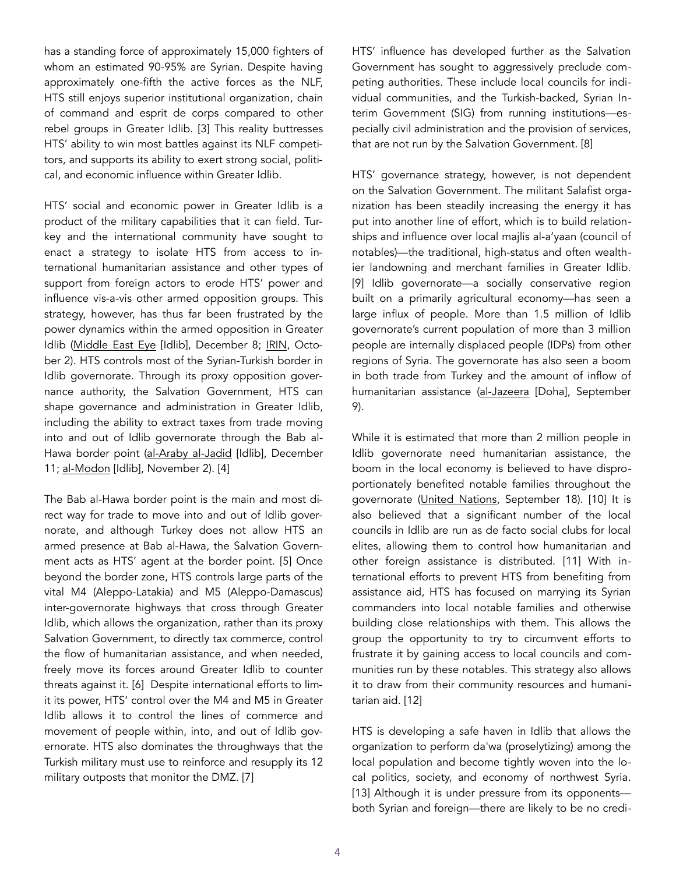has a standing force of approximately 15,000 fighters of whom an estimated 90-95% are Syrian. Despite having approximately one-fifth the active forces as the NLF, HTS still enjoys superior institutional organization, chain of command and esprit de corps compared to other rebel groups in Greater Idlib. [3] This reality buttresses HTS' ability to win most battles against its NLF competitors, and supports its ability to exert strong social, political, and economic influence within Greater Idlib.

HTS' social and economic power in Greater Idlib is a product of the military capabilities that it can field. Turkey and the international community have sought to enact a strategy to isolate HTS from access to international humanitarian assistance and other types of support from foreign actors to erode HTS' power and influence vis-a-vis other armed opposition groups. This strategy, however, has thus far been frustrated by the power dynamics within the armed opposition in Greater Idlib [\(Middle East Eye](https://www.middleeasteye.net/news/idlib-bab-al-hawa-british-charities-2130671451) [Idlib], December 8; [IRIN,](https://www.irinnews.org/news/2018/10/02/us-and-uk-halt-key-syria-aid-shipments-over-extremist-taxes) October 2). HTS controls most of the Syrian-Turkish border in Idlib governorate. Through its proxy opposition governance authority, the Salvation Government, HTS can shape governance and administration in Greater Idlib, including the ability to extract taxes from trade moving into and out of Idlib governorate through the Bab al-Hawa border point [\(al-Araby al-Jadid](https://www.alaraby.co.uk/politics/2018/12/11/) [Idlib], December 11; [al-Modon](https://www.almodon.com/arabworld/2017/11/2/%D8%A7%D9%84%D8%A5%D9%86%D9%82%D8%A7%D8%B0-%D8%AD%D9%83%D9%88%D9%85%D8%A9-%D8%AB%D8%A7%D9%86%D9%8A%D8%A9-%D9%84%D9%84%D9%85%D8%B9%D8%A7%D8%B1%D8%B6%D8%A9-%D8%A7%D9%84%D8%B3%D9%88%D8%B1%D9%8A%D8%A9-%D9%81%D9%8A-%D8%A7%D9%84%D8%B4%D9%85%D8%A7%D9%84) [Idlib], November 2). [4]

The Bab al-Hawa border point is the main and most direct way for trade to move into and out of Idlib governorate, and although Turkey does not allow HTS an armed presence at Bab al-Hawa, the Salvation Government acts as HTS' agent at the border point. [5] Once beyond the border zone, HTS controls large parts of the vital M4 (Aleppo-Latakia) and M5 (Aleppo-Damascus) inter-governorate highways that cross through Greater Idlib, which allows the organization, rather than its proxy Salvation Government, to directly tax commerce, control the flow of humanitarian assistance, and when needed, freely move its forces around Greater Idlib to counter threats against it. [6] Despite international efforts to limit its power, HTS' control over the M4 and M5 in Greater Idlib allows it to control the lines of commerce and movement of people within, into, and out of Idlib governorate. HTS also dominates the throughways that the Turkish military must use to reinforce and resupply its 12 military outposts that monitor the DMZ. [7]

HTS' influence has developed further as the Salvation Government has sought to aggressively preclude competing authorities. These include local councils for individual communities, and the Turkish-backed, Syrian Interim Government (SIG) from running institutions—especially civil administration and the provision of services, that are not run by the Salvation Government. [8]

HTS' governance strategy, however, is not dependent on the Salvation Government. The militant Salafist organization has been steadily increasing the energy it has put into another line of effort, which is to build relationships and influence over local majlis al-a'yaan (council of notables)—the traditional, high-status and often wealthier landowning and merchant families in Greater Idlib. [9] Idlib governorate—a socially conservative region built on a primarily agricultural economy—has seen a large influx of people. More than 1.5 million of Idlib governorate's current population of more than 3 million people are internally displaced people (IDPs) from other regions of Syria. The governorate has also seen a boom in both trade from Turkey and the amount of inflow of humanitarian assistance ([al-Jazeera](https://www.aljazeera.com/news/2018/09/looming-battle-idlib-180908142026400.html) [Doha], September 9).

While it is estimated that more than 2 million people in Idlib governorate need humanitarian assistance, the boom in the local economy is believed to have disproportionately benefited notable families throughout the governorate [\(United Nations](https://www.un.org/press/en/2018/sc13509.doc.htm), September 18). [10] It is also believed that a significant number of the local councils in Idlib are run as de facto social clubs for local elites, allowing them to control how humanitarian and other foreign assistance is distributed. [11] With international efforts to prevent HTS from benefiting from assistance aid, HTS has focused on marrying its Syrian commanders into local notable families and otherwise building close relationships with them. This allows the group the opportunity to try to circumvent efforts to frustrate it by gaining access to local councils and communities run by these notables. This strategy also allows it to draw from their community resources and humanitarian aid. [12]

HTS is developing a safe haven in Idlib that allows the organization to perform da'wa (proselytizing) among the local population and become tightly woven into the local politics, society, and economy of northwest Syria. [13] Although it is under pressure from its opponentsboth Syrian and foreign—there are likely to be no credi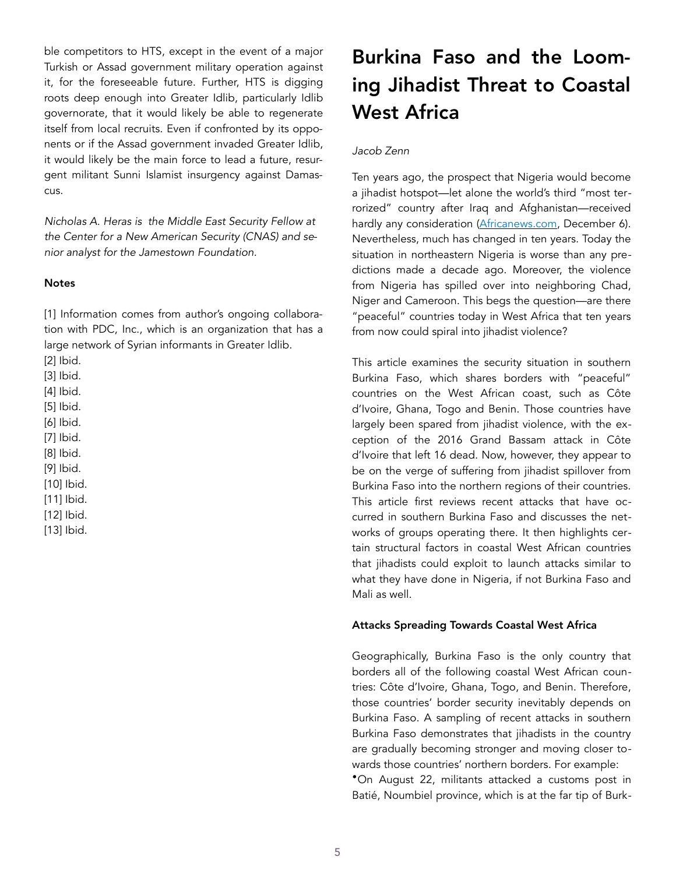ble competitors to HTS, except in the event of a major Turkish or Assad government military operation against it, for the foreseeable future. Further, HTS is digging roots deep enough into Greater Idlib, particularly Idlib governorate, that it would likely be able to regenerate itself from local recruits. Even if confronted by its opponents or if the Assad government invaded Greater Idlib, it would likely be the main force to lead a future, resurgent militant Sunni Islamist insurgency against Damascus.

*Nicholas A. Heras is the Middle East Security Fellow at the Center for a New American Security (CNAS) and senior analyst for the Jamestown Foundation.* 

#### **Notes**

[1] Information comes from author's ongoing collaboration with PDC, Inc., which is an organization that has a large network of Syrian informants in Greater Idlib.

[2] Ibid.

[3] Ibid.

[4] Ibid.

[5] Ibid.

[6] Ibid.

[7] Ibid.

[8] Ibid.

[9] Ibid.

[10] Ibid.

[11] Ibid.

[12] Ibid.

[13] Ibid.

# Burkina Faso and the Looming Jihadist Threat to Coastal West Africa

## *Jacob Zenn*

Ten years ago, the prospect that Nigeria would become a jihadist hotspot—let alone the world's third "most terrorized" country after Iraq and Afghanistan—received hardly any consideration ([Africanews.com,](http://www.africanews.com/2018/12/06/nigeria-somalia-africa-s-most-terrorized-countries-in-2018-report/) December 6). Nevertheless, much has changed in ten years. Today the situation in northeastern Nigeria is worse than any predictions made a decade ago. Moreover, the violence from Nigeria has spilled over into neighboring Chad, Niger and Cameroon. This begs the question—are there "peaceful" countries today in West Africa that ten years from now could spiral into jihadist violence?

This article examines the security situation in southern Burkina Faso, which shares borders with "peaceful" countries on the West African coast, such as Côte d'Ivoire, Ghana, Togo and Benin. Those countries have largely been spared from jihadist violence, with the exception of the 2016 Grand Bassam attack in Côte d'Ivoire that left 16 dead. Now, however, they appear to be on the verge of suffering from jihadist spillover from Burkina Faso into the northern regions of their countries. This article first reviews recent attacks that have occurred in southern Burkina Faso and discusses the networks of groups operating there. It then highlights certain structural factors in coastal West African countries that jihadists could exploit to launch attacks similar to what they have done in Nigeria, if not Burkina Faso and Mali as well.

#### Attacks Spreading Towards Coastal West Africa

Geographically, Burkina Faso is the only country that borders all of the following coastal West African countries: Côte d'Ivoire, Ghana, Togo, and Benin. Therefore, those countries' border security inevitably depends on Burkina Faso. A sampling of recent attacks in southern Burkina Faso demonstrates that jihadists in the country are gradually becoming stronger and moving closer towards those countries' northern borders. For example: •On August 22, militants attacked a customs post in Batié, Noumbiel province, which is at the far tip of Burk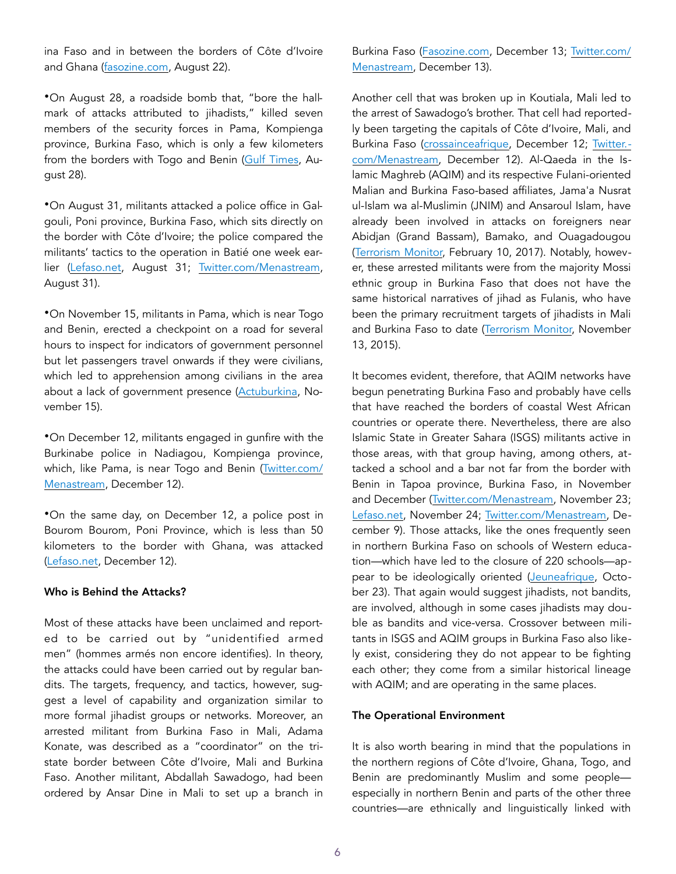ina Faso and in between the borders of Côte d'Ivoire and Ghana [\(fasozine.com](http://www.fasozine.com/actualite/societe/4892-batie-le-poste-de-douane-attaque-un-douanier-tue.html), August 22).

•On August 28, a roadside bomb that, "bore the hallmark of attacks attributed to jihadists," killed seven members of the security forces in Pama, Kompienga province, Burkina Faso, which is only a few kilometers from the borders with Togo and Benin ([Gulf Times](https://www.gulf-times.com/story/604143/Blast-kills-7-security-personnel-in-Burkina-Faso), August 28).

•On August 31, militants attacked a police office in Galgouli, Poni province, Burkina Faso, which sits directly on the border with Côte d'Ivoire; the police compared the militants' tactics to the operation in Batié one week earlier ([Lefaso.net,](http://lefaso.net/spip.php?article85227) August 31; [Twitter.com/Menastream,](https://twitter.com/menastream/status/10357188751392) August 31).

•On November 15, militants in Pama, which is near Togo and Benin, erected a checkpoint on a road for several hours to inspect for indicators of government personnel but let passengers travel onwards if they were civilians, which led to apprehension among civilians in the area about a lack of government presence ([Actuburkina](http://actuburkina.net/axe-fada-pama-des-passagers-blesses-par-des-hommes-armes-non-identifies/), November 15).

•On December 12, militants engaged in gunfire with the Burkinabe police in Nadiagou, Kompienga province, which, like Pama, is near Togo and Benin [\(Twitter.com/](https://twitter.com/MENASTREAM/status/1072960998477307904) [Menastream](https://twitter.com/MENASTREAM/status/1072960998477307904), December 12).

•On the same day, on December 12, a police post in Bourom Bourom, Poni Province, which is less than 50 kilometers to the border with Ghana, was attacked ([Lefaso.net,](http://lefaso.net/spip.php?article86948) December 12).

#### Who is Behind the Attacks?

Most of these attacks have been unclaimed and reported to be carried out by "unidentified armed men" (hommes armés non encore identifies). In theory, the attacks could have been carried out by regular bandits. The targets, frequency, and tactics, however, suggest a level of capability and organization similar to more formal jihadist groups or networks. Moreover, an arrested militant from Burkina Faso in Mali, Adama Konate, was described as a "coordinator" on the tristate border between Côte d'Ivoire, Mali and Burkina Faso. Another militant, Abdallah Sawadogo, had been ordered by Ansar Dine in Mali to set up a branch in Burkina Faso ([Fasozine.com,](http://www.fasozine.com/actualite/societe/5589-mali-arrestation-de-burkinabe-soupconnes-de-preparer-des-attentats-a-ouaga-bamako-et-abidjan.html) December 13; [Twitter.com/](https://twitter.com/MENASTREAM/status/1073169029592944645) [Menastream](https://twitter.com/MENASTREAM/status/1073169029592944645), December 13).

Another cell that was broken up in Koutiala, Mali led to the arrest of Sawadogo's brother. That cell had reportedly been targeting the capitals of Côte d'Ivoire, Mali, and Burkina Faso ([crossainceafrique,](https://croissanceafrique.com/index.php/2018/12/12/mali-communique-une-cellule-terroriste-a-ete-demantelee-jeudi-dernier-par-la-dgse-malienne-aux-environs-de-koutiala/?fbclid=IwAR1dalc80xCTQHTMQuwinZytBFCbXUBfMqniWMjfmpsPpEyT_-KNUcYIvLI) December 12; [Twitter.](https://twitter.com/MENASTREAM/status/1072820750409711617) [com/Menastream](https://twitter.com/MENASTREAM/status/1072820750409711617), December 12). Al-Qaeda in the Islamic Maghreb (AQIM) and its respective Fulani-oriented Malian and Burkina Faso-based affiliates, Jama'a Nusrat ul-Islam wa al-Muslimin (JNIM) and Ansaroul Islam, have already been involved in attacks on foreigners near Abidjan (Grand Bassam), Bamako, and Ouagadougou ([Terrorism Monitor,](https://jamestown.org/program/senegal-boosts-security-measures-combat-aqim-threat/) February 10, 2017). Notably, however, these arrested militants were from the majority Mossi ethnic group in Burkina Faso that does not have the same historical narratives of jihad as Fulanis, who have been the primary recruitment targets of jihadists in Mali and Burkina Faso to date ([Terrorism Monitor,](https://jamestown.org/program/the-sahels-militant-melting-pot-hamadou-kouffas-macina-liberation-front-flm/) November 13, 2015).

It becomes evident, therefore, that AQIM networks have begun penetrating Burkina Faso and probably have cells that have reached the borders of coastal West African countries or operate there. Nevertheless, there are also Islamic State in Greater Sahara (ISGS) militants active in those areas, with that group having, among others, attacked a school and a bar not far from the border with Benin in Tapoa province, Burkina Faso, in November and December ([Twitter.com/Menastream,](https://twitter.com/menastream/status/1065955359142158336?lang=en) November 23; [Lefaso.net](http://lefaso.net/spip.php?article86608), November 24; [Twitter.com/Menastream,](https://twitter.com/MENASTREAM/status/1071842133085249536) December 9). Those attacks, like the ones frequently seen in northern Burkina Faso on schools of Western education—which have led to the closure of 220 schools—ap-pear to be ideologically oriented ([Jeuneafrique,](https://www.jeuneafrique.com/651476/politique/burkina-faso-les-autorites-depassees-face-aux-attaques-jihadistes/) October 23). That again would suggest jihadists, not bandits, are involved, although in some cases jihadists may double as bandits and vice-versa. Crossover between militants in ISGS and AQIM groups in Burkina Faso also likely exist, considering they do not appear to be fighting each other; they come from a similar historical lineage with AQIM; and are operating in the same places.

#### The Operational Environment

It is also worth bearing in mind that the populations in the northern regions of Côte d'Ivoire, Ghana, Togo, and Benin are predominantly Muslim and some people especially in northern Benin and parts of the other three countries—are ethnically and linguistically linked with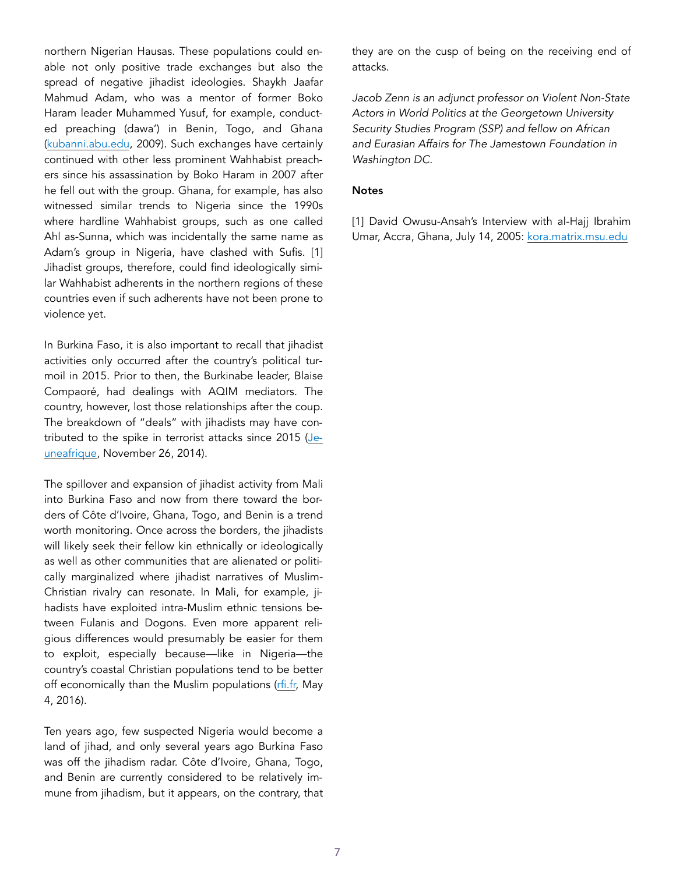northern Nigerian Hausas. These populations could enable not only positive trade exchanges but also the spread of negative jihadist ideologies. Shaykh Jaafar Mahmud Adam, who was a mentor of former Boko Haram leader Muhammed Yusuf, for example, conducted preaching (dawa') in Benin, Togo, and Ghana ([kubanni.abu.edu](http://kubanni.abu.edu.ng/jspui/bitstream/123456789/8356/1/A%20STUDY%20OF%20CONTRIBUTIONS%20OF%20SELECTED%20MUSLIM%20SCHOLARS%20TO%20THE%20DEVELOPMENT%20OF%20TAFSIRIN%20IN%20NORTHERN%20NIGERIA%20FROM.pdf), 2009). Such exchanges have certainly continued with other less prominent Wahhabist preachers since his assassination by Boko Haram in 2007 after he fell out with the group. Ghana, for example, has also witnessed similar trends to Nigeria since the 1990s where hardline Wahhabist groups, such as one called Ahl as-Sunna, which was incidentally the same name as Adam's group in Nigeria, have clashed with Sufis. [1] Jihadist groups, therefore, could find ideologically similar Wahhabist adherents in the northern regions of these countries even if such adherents have not been prone to violence yet.

In Burkina Faso, it is also important to recall that jihadist activities only occurred after the country's political turmoil in 2015. Prior to then, the Burkinabe leader, Blaise Compaoré, had dealings with AQIM mediators. The country, however, lost those relationships after the coup. The breakdown of "deals" with jihadists may have contributed to the spike in terrorist attacks since 2015 ([Je](https://www.jeuneafrique.com/38891/politique/burkina-moustapha-chafi-un-nomade-d-couvert/)[uneafrique,](https://www.jeuneafrique.com/38891/politique/burkina-moustapha-chafi-un-nomade-d-couvert/) November 26, 2014).

The spillover and expansion of jihadist activity from Mali into Burkina Faso and now from there toward the borders of Côte d'Ivoire, Ghana, Togo, and Benin is a trend worth monitoring. Once across the borders, the jihadists will likely seek their fellow kin ethnically or ideologically as well as other communities that are alienated or politically marginalized where jihadist narratives of Muslim-Christian rivalry can resonate. In Mali, for example, jihadists have exploited intra-Muslim ethnic tensions between Fulanis and Dogons. Even more apparent religious differences would presumably be easier for them to exploit, especially because—like in Nigeria—the country's coastal Christian populations tend to be better off economically than the Muslim populations ([rfi.fr,](http://www.rfi.fr/afrique/20160504-mali-bilan-tensions-peul-bambara-region-mopti) May 4, 2016).

Ten years ago, few suspected Nigeria would become a land of jihad, and only several years ago Burkina Faso was off the jihadism radar. Côte d'Ivoire, Ghana, Togo, and Benin are currently considered to be relatively immune from jihadism, but it appears, on the contrary, that they are on the cusp of being on the receiving end of attacks.

*Jacob Zenn is an adjunct professor on Violent Non-State Actors in World Politics at the Georgetown University Security Studies Program (SSP) and fellow on African and Eurasian Affairs for The Jamestown Foundation in Washington DC.* 

## Notes

[1] David Owusu-Ansah's Interview with al-Hajj Ibrahim Umar, Accra, Ghana, July 14, 2005: [kora.matrix.msu.edu](http://kora.matrix.msu.edu/files/71/439/47-1B7-43-17-Harvar-Interview%20with%20Al-Hajj%20Umar%20Imam%20of%20Ahl-Sun.pdf)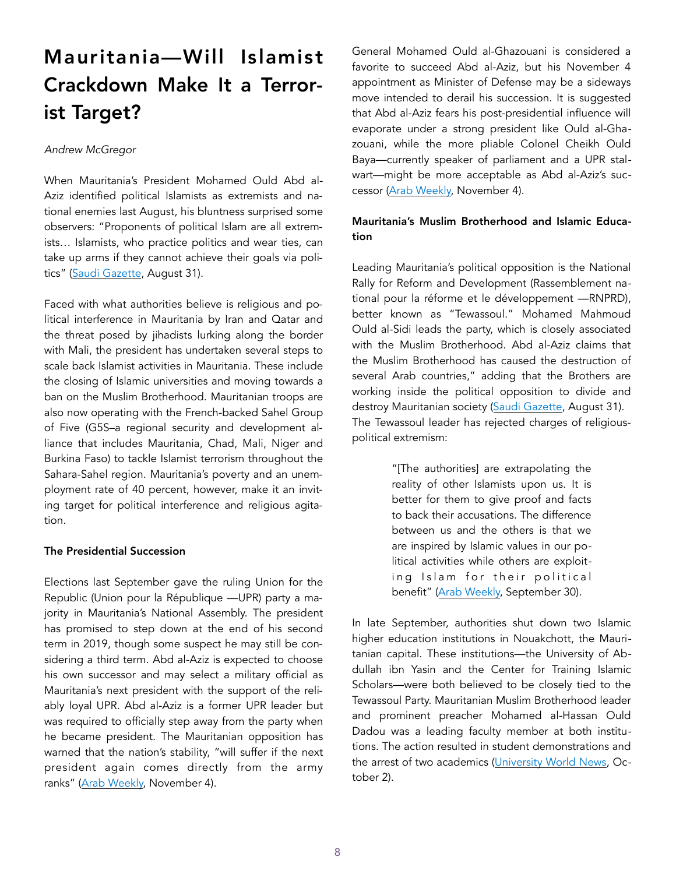# Mauritania—Will Islamist Crackdown Make It a Terrorist Target?

## *Andrew McGregor*

When Mauritania's President Mohamed Ould Abd al-Aziz identified political Islamists as extremists and national enemies last August, his bluntness surprised some observers: "Proponents of political Islam are all extremists… Islamists, who practice politics and wear ties, can take up arms if they cannot achieve their goals via politics" [\(Saudi Gazette,](http://saudigazette.com.sa/article/542393/World/Mena/Mauritanian-President-Muslim-Brotherhood-behind-destruction-of-nations) August 31).

Faced with what authorities believe is religious and political interference in Mauritania by Iran and Qatar and the threat posed by jihadists lurking along the border with Mali, the president has undertaken several steps to scale back Islamist activities in Mauritania. These include the closing of Islamic universities and moving towards a ban on the Muslim Brotherhood. Mauritanian troops are also now operating with the French-backed Sahel Group of Five (G5S–a regional security and development alliance that includes Mauritania, Chad, Mali, Niger and Burkina Faso) to tackle Islamist terrorism throughout the Sahara-Sahel region. Mauritania's poverty and an unemployment rate of 40 percent, however, make it an inviting target for political interference and religious agitation.

#### The Presidential Succession

Elections last September gave the ruling Union for the Republic (Union pour la République —UPR) party a majority in Mauritania's National Assembly. The president has promised to step down at the end of his second term in 2019, though some suspect he may still be considering a third term. Abd al-Aziz is expected to choose his own successor and may select a military official as Mauritania's next president with the support of the reliably loyal UPR. Abd al-Aziz is a former UPR leader but was required to officially step away from the party when he became president. The Mauritanian opposition has warned that the nation's stability, "will suffer if the next president again comes directly from the army ranks" ([Arab Weekly,](https://thearabweekly.com/mauritania-appointments-reflect-jockeying-succession) November 4).

General Mohamed Ould al-Ghazouani is considered a favorite to succeed Abd al-Aziz, but his November 4 appointment as Minister of Defense may be a sideways move intended to derail his succession. It is suggested that Abd al-Aziz fears his post-presidential influence will evaporate under a strong president like Ould al-Ghazouani, while the more pliable Colonel Cheikh Ould Baya—currently speaker of parliament and a UPR stalwart—might be more acceptable as Abd al-Aziz's successor ([Arab Weekly,](https://thearabweekly.com/mauritania-appointments-reflect-jockeying-succession) November 4).

# Mauritania's Muslim Brotherhood and Islamic Education

Leading Mauritania's political opposition is the National Rally for Reform and Development (Rassemblement national pour la réforme et le développement —RNPRD), better known as "Tewassoul." Mohamed Mahmoud Ould al-Sidi leads the party, which is closely associated with the Muslim Brotherhood. Abd al-Aziz claims that the Muslim Brotherhood has caused the destruction of several Arab countries," adding that the Brothers are working inside the political opposition to divide and destroy Mauritanian society ([Saudi Gazette,](http://saudigazette.com.sa/article/542393/World/Mena/Mauritanian-President-Muslim-Brotherhood-behind-destruction-of-nations) August 31). The Tewassoul leader has rejected charges of religiouspolitical extremism:

> "[The authorities] are extrapolating the reality of other Islamists upon us. It is better for them to give proof and facts to back their accusations. The difference between us and the others is that we are inspired by Islamic values in our political activities while others are exploiting Islam for their political benefit" [\(Arab Weekly,](https://thearabweekly.com/new-measures-fuel-speculation-about-islamist-ban-mauritania) September 30).

In late September, authorities shut down two Islamic higher education institutions in Nouakchott, the Mauritanian capital. These institutions—the University of Abdullah ibn Yasin and the Center for Training Islamic Scholars—were both believed to be closely tied to the Tewassoul Party. Mauritanian Muslim Brotherhood leader and prominent preacher Mohamed al-Hassan Ould Dadou was a leading faculty member at both institutions. The action resulted in student demonstrations and the arrest of two academics [\(University World News,](http://www.universityworldnews.com/article.php?story=20181001110432753) October 2).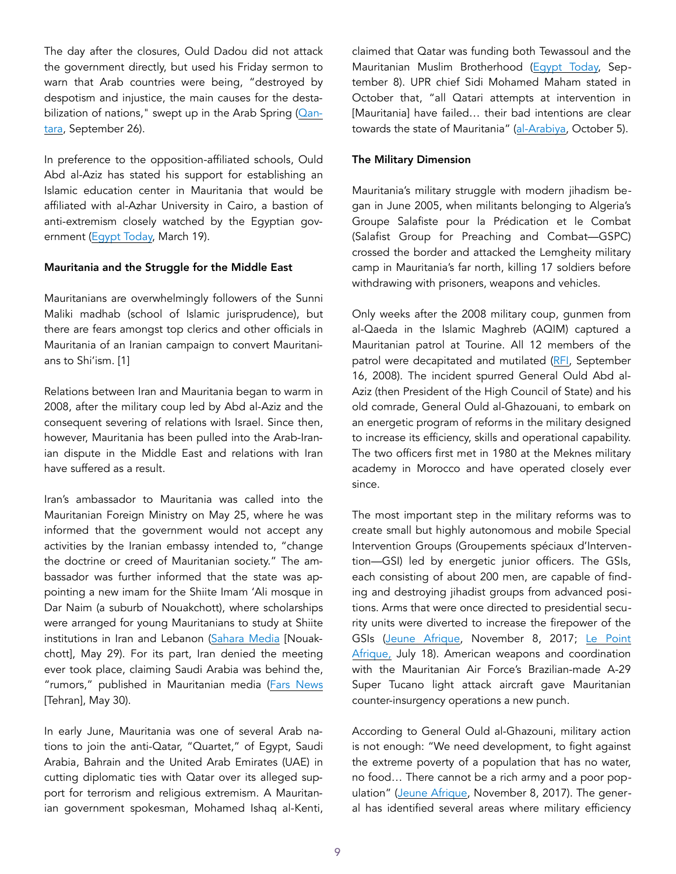The day after the closures, Ould Dadou did not attack the government directly, but used his Friday sermon to warn that Arab countries were being, "destroyed by despotism and injustice, the main causes for the desta-bilization of nations," swept up in the Arab Spring [\(Qan](https://en.qantara.de/content/mauritania-closes-extremist-islamic-school)[tara](https://en.qantara.de/content/mauritania-closes-extremist-islamic-school), September 26).

In preference to the opposition-affiliated schools, Ould Abd al-Aziz has stated his support for establishing an Islamic education center in Mauritania that would be affiliated with al-Azhar University in Cairo, a bastion of anti-extremism closely watched by the Egyptian gov-ernment ([Egypt Today,](http://www.egypttoday.com/Article/1/45649/Mauritanian-president-praises-Al-Azhar-s-role-in-spreading-moderate) March 19).

## Mauritania and the Struggle for the Middle East

Mauritanians are overwhelmingly followers of the Sunni Maliki madhab (school of Islamic jurisprudence), but there are fears amongst top clerics and other officials in Mauritania of an Iranian campaign to convert Mauritanians to Shi'ism. [1]

Relations between Iran and Mauritania began to warm in 2008, after the military coup led by Abd al-Aziz and the consequent severing of relations with Israel. Since then, however, Mauritania has been pulled into the Arab-Iranian dispute in the Middle East and relations with Iran have suffered as a result.

Iran's ambassador to Mauritania was called into the Mauritanian Foreign Ministry on May 25, where he was informed that the government would not accept any activities by the Iranian embassy intended to, "change the doctrine or creed of Mauritanian society." The ambassador was further informed that the state was appointing a new imam for the Shiite Imam 'Ali mosque in Dar Naim (a suburb of Nouakchott), where scholarships were arranged for young Mauritanians to study at Shiite institutions in Iran and Lebanon [\(Sahara Media](https://www.saharamedias.net/) [Nouakchott], May 29). For its part, Iran denied the meeting ever took place, claiming Saudi Arabia was behind the, "rumors," published in Mauritanian media [\(Fars News](http://ar.farsnews.com/iran/news/13970309001205) [Tehran], May 30).

In early June, Mauritania was one of several Arab nations to join the anti-Qatar, "Quartet," of Egypt, Saudi Arabia, Bahrain and the United Arab Emirates (UAE) in cutting diplomatic ties with Qatar over its alleged support for terrorism and religious extremism. A Mauritanian government spokesman, Mohamed Ishaq al-Kenti, claimed that Qatar was funding both Tewassoul and the Mauritanian Muslim Brotherhood ([Egypt Today,](http://www.egypttoday.com/Article/2/57272/Mauritania-official-accuses-Doha-of-funding-MB-in-Nouakchott) September 8). UPR chief Sidi Mohamed Maham stated in October that, "all Qatari attempts at intervention in [Mauritania] have failed... their bad intentions are clear towards the state of Mauritania" ([al-Arabiya,](http://english.alarabiya.net/en/News/gulf/2018/10/05/Mauritanian-politician-Qatar-failed-to-stir-up-chaos-.html) October 5).

## The Military Dimension

Mauritania's military struggle with modern jihadism began in June 2005, when militants belonging to Algeria's Groupe Salafiste pour la Prédication et le Combat (Salafist Group for Preaching and Combat—GSPC) crossed the border and attacked the Lemgheity military camp in Mauritania's far north, killing 17 soldiers before withdrawing with prisoners, weapons and vehicles.

Only weeks after the 2008 military coup, gunmen from al-Qaeda in the Islamic Maghreb (AQIM) captured a Mauritanian patrol at Tourine. All 12 members of the patrol were decapitated and mutilated ([RFI,](http://www1.rfi.fr/actufr/articles/105/article_72403.asp) September 16, 2008). The incident spurred General Ould Abd al-Aziz (then President of the High Council of State) and his old comrade, General Ould al-Ghazouani, to embark on an energetic program of reforms in the military designed to increase its efficiency, skills and operational capability. The two officers first met in 1980 at the Meknes military academy in Morocco and have operated closely ever since.

The most important step in the military reforms was to create small but highly autonomous and mobile Special Intervention Groups (Groupements spéciaux d'Intervention—GSI) led by energetic junior officers. The GSIs, each consisting of about 200 men, are capable of finding and destroying jihadist groups from advanced positions. Arms that were once directed to presidential security units were diverted to increase the firepower of the GSIs ([Jeune Afrique,](http://mauriactu.info/fr/articles/le-general-ghazwani-s-explique-pour-la-premiere-fois-sur-le-succes-militaire-de-la) November 8, 2017; [Le Point](https://www.g5sahel.org/index.php/13-actualite-des-pays-g5/1340-g5-sahel-hanena-ould-sidi-nos-priorites-sont-toutes-les-frontieres)  [Afrique,](https://www.g5sahel.org/index.php/13-actualite-des-pays-g5/1340-g5-sahel-hanena-ould-sidi-nos-priorites-sont-toutes-les-frontieres) July 18). American weapons and coordination with the Mauritanian Air Force's Brazilian-made A-29 Super Tucano light attack aircraft gave Mauritanian counter-insurgency operations a new punch.

According to General Ould al-Ghazouni, military action is not enough: "We need development, to fight against the extreme poverty of a population that has no water, no food… There cannot be a rich army and a poor pop-ulation" ([Jeune Afrique,](http://mauriactu.info/fr/articles/le-general-ghazwani-s-explique-pour-la-premiere-fois-sur-le-succes-militaire-de-la) November 8, 2017). The general has identified several areas where military efficiency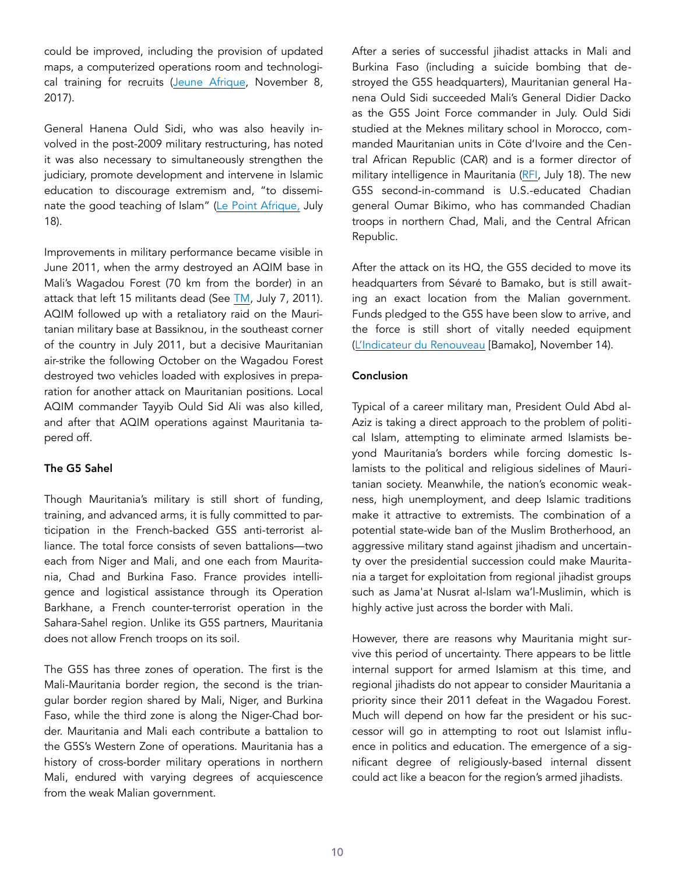could be improved, including the provision of updated maps, a computerized operations room and technological training for recruits ([Jeune Afrique](http://mauriactu.info/fr/articles/le-general-ghazwani-s-explique-pour-la-premiere-fois-sur-le-succes-militaire-de-la), November 8, 2017).

General Hanena Ould Sidi, who was also heavily involved in the post-2009 military restructuring, has noted it was also necessary to simultaneously strengthen the judiciary, promote development and intervene in Islamic education to discourage extremism and, "to disseminate the good teaching of Islam" [\(Le Point Afrique,](https://www.g5sahel.org/index.php/13-actualite-des-pays-g5/1340-g5-sahel-hanena-ould-sidi-nos-priorites-sont-toutes-les-frontieres) July 18).

Improvements in military performance became visible in June 2011, when the army destroyed an AQIM base in Mali's Wagadou Forest (70 km from the border) in an attack that left 15 militants dead (See [TM,](https://jamestown.org/brief/briefs-99/) July 7, 2011). AQIM followed up with a retaliatory raid on the Mauritanian military base at Bassiknou, in the southeast corner of the country in July 2011, but a decisive Mauritanian air-strike the following October on the Wagadou Forest destroyed two vehicles loaded with explosives in preparation for another attack on Mauritanian positions. Local AQIM commander Tayyib Ould Sid Ali was also killed, and after that AQIM operations against Mauritania tapered off.

#### The G5 Sahel

Though Mauritania's military is still short of funding, training, and advanced arms, it is fully committed to participation in the French-backed G5S anti-terrorist alliance. The total force consists of seven battalions—two each from Niger and Mali, and one each from Mauritania, Chad and Burkina Faso. France provides intelligence and logistical assistance through its Operation Barkhane, a French counter-terrorist operation in the Sahara-Sahel region. Unlike its G5S partners, Mauritania does not allow French troops on its soil.

The G5S has three zones of operation. The first is the Mali-Mauritania border region, the second is the triangular border region shared by Mali, Niger, and Burkina Faso, while the third zone is along the Niger-Chad border. Mauritania and Mali each contribute a battalion to the G5S's Western Zone of operations. Mauritania has a history of cross-border military operations in northern Mali, endured with varying degrees of acquiescence from the weak Malian government.

After a series of successful jihadist attacks in Mali and Burkina Faso (including a suicide bombing that destroyed the G5S headquarters), Mauritanian general Hanena Ould Sidi succeeded Mali's General Didier Dacko as the G5S Joint Force commander in July. Ould Sidi studied at the Meknes military school in Morocco, commanded Mauritanian units in Cöte d'Ivoire and the Central African Republic (CAR) and is a former director of military intelligence in Mauritania [\(RFI](http://www.rfi.fr/afrique/20180718-homme-experience-general-hanena-ould-sidi-g5-sahel), July 18). The new G5S second-in-command is U.S.-educated Chadian general Oumar Bikimo, who has commanded Chadian troops in northern Chad, Mali, and the Central African Republic.

After the attack on its HQ, the G5S decided to move its headquarters from Sévaré to Bamako, but is still awaiting an exact location from the Malian government. Funds pledged to the G5S have been slow to arrive, and the force is still short of vitally needed equipment ([L'Indicateur du Renouveau](https://news-africa.fr/general-hanena-ould-sidi-head-of-the-g5-sahel-force-we-are-waiting-for-the-malian-authorities/16550/) [Bamako], November 14).

## Conclusion

Typical of a career military man, President Ould Abd al-Aziz is taking a direct approach to the problem of political Islam, attempting to eliminate armed Islamists beyond Mauritania's borders while forcing domestic Islamists to the political and religious sidelines of Mauritanian society. Meanwhile, the nation's economic weakness, high unemployment, and deep Islamic traditions make it attractive to extremists. The combination of a potential state-wide ban of the Muslim Brotherhood, an aggressive military stand against jihadism and uncertainty over the presidential succession could make Mauritania a target for exploitation from regional jihadist groups such as Jama'at Nusrat al-Islam wa'l-Muslimin, which is highly active just across the border with Mali.

However, there are reasons why Mauritania might survive this period of uncertainty. There appears to be little internal support for armed Islamism at this time, and regional jihadists do not appear to consider Mauritania a priority since their 2011 defeat in the Wagadou Forest. Much will depend on how far the president or his successor will go in attempting to root out Islamist influence in politics and education. The emergence of a significant degree of religiously-based internal dissent could act like a beacon for the region's armed jihadists.